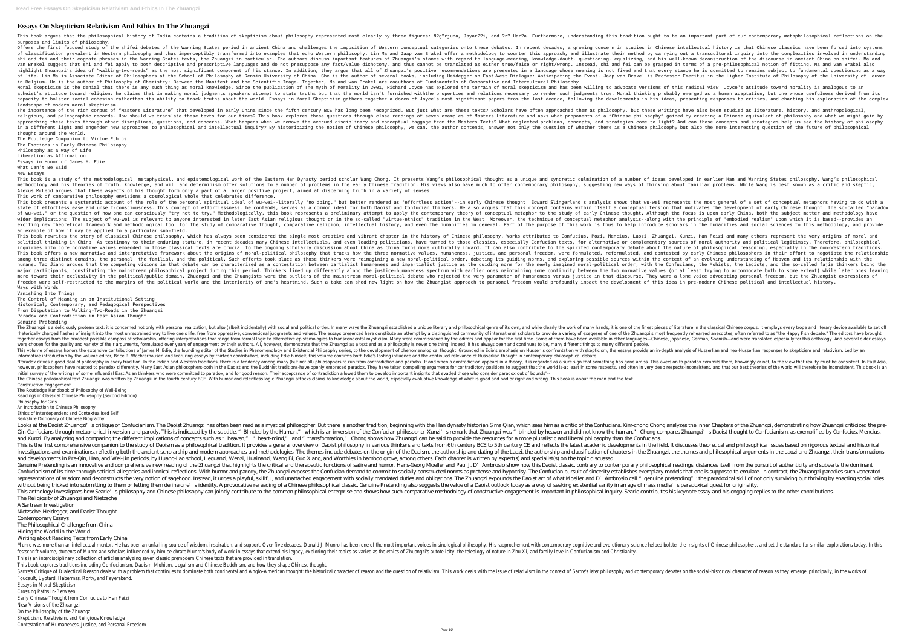## **Essays On Skepticism Relativism And Ethics In The Zhuangzi**

This book argues that the philosophical history of India contains a tradition of skepticism about philosophy represented most clearly by three figures: N?g?rjuna, Jayar??i, and ?r? Har?a. Furthermore, understanding this tr purposes and limits of philosophy.

Offers the first focused study of the shifei debates of the Warring States period in ancient China and challenges the imposition of Western conceptual categories onto these debates. In recent decades, a growing concern in of classification prevalent in Western philosophy and thus imperceptibly transformed into examples that echo Western philosophy. Lin Ma and Jaap van Brakel offer a methodology to counter this approach, and illustrate their shi and tei and their cognate phrases in the Warring States texts, the Zhuangzi in particular. The authors discuss important features of Zhuangzi's stance with regard to language-meaning, and his well-known deconstruction van Brakel suggest that shi and fei apply to both descriptive and prescriptive languages and do not presuppose any fact/value dichotomy, and thus cannot be translated as either true/false or right/wrong. Instead, shi and f highlight Zhuangzi's idea of "walking-two-roads" as the most significant component of his stance. In addition, they argue that all of Zhuangzi's positive recommendations are presented in a language whose meaning is not fix of life. Lin Ma is Associate Editor of Philosophers at the School of Philosophy at Renmin University of China. She is the author of several books, including Heidegger on East-West Dialogue: Anticipating the Event. Jaap van in Belgium. He is the author of Philosophy of Chemistry: Between the Manifest and the Scientific Image. Together, Ma and van Brakel are coauthors of Fundamentals of Comparative and Intercultural Philosophy. Moral skepticism is the denial that there is any such thing as moral knowledge. Since the publication of The Myth of Morality in 2001, Richard Joyce has explored the terrain of moral skepticism and has been willing to advo atheist's attitude toward religion: he claims that in making moral judgments speakers attempt to state truths but that the world isn't furnished withthe properties and relations necessary to render such judgments true. Mor capacity to bolster social cohesion ratherthan its ability to track truths about the world. Essays in Moral Skepticism gathers together a dozen of Joyce's most significant papers from the last decade, following the develop landscape of modern moral skepticism.

The importance of the rich corpus of "Masters Literature" that developed in early China since the fifth century BCE has long been recognized. But just what are these writings have also been studied as literature, history, religious, and paleographic records. How should we translate these texts for our times? This book explores these questions through close readings of seven examples of Masters Literature and asks what proponents of a "Chine approaching these texts through other disciplines, questions, and concerns. What happens when we remove the accrued disciplinary and strategies come to light? And can those concepts and strategies help us see the history o in a different light and engender new approaches to philosophical and intellectual inquiry? By historicizing the notion of whether there is a Chinese philosophy but also the more interesting question of the future of philo thought around the world.

This book is a study of the methodological, metaphysical, and epistemological work of the Eastern Han Dynasty period scholar Wang Chong. It presents Wang's philosophical thought as a unique and syncretic culmination of a n methodology and his theories of truth, knowledge, and will and determinism offer solutions to a number of problems in the early Chinese tradition. His views also have much to offer contemporary philosophy, suggesting new w Alexus McLeod argues that these aspects of his thought form only a part of a larger positive project, aimed at discerning truth in a variety of senses. This work of comparative philosophy envisions a cosmological whole that celebrates difference.

This book presents a systematic account of the role of the personal spiritual ideal of wu-wei--literally "no doing," but better rendered as "effortless action"--in early Chinese thought. Edward Slingerland's analysis shows state of effortless ease and unself-consciousness. This concept of effortlessness, he contends, serves as a common ideal for both Daoist and Confucian thinkers. He also arques that this conceptual tension that motivates th of wu-wei." or the question of how one can consciously "try not to try." Methodologically. this book represents a preliminary attempt to apply the contemporary theory of conceptual metaphor to the study of early Chinese th wider implications. The subject of wu-wei is relevant to anyone interested in later East Asian religious thought or in the so-called "virtue-ethics" tradition in the West. Moreover, the technique of conceptual metaphor ana exciting new theoretical framework and methodological tool for the study of comparative thought, comparative thought, comparative religion, intellectual history, and even the burpose of this work is thus to help introduce an example of how it may be applied to a particular sub-field.

The Routledge Companion to Virtue Ethics The Emotions in Early Chinese Philosophy

Philosophy as a Way of Life

Liberation as Affirmation

Essays in Honor of James M. Edie

What Can't Be Said New Essays

This book rewrites the story of classical Chinese philosophy, which has always been considered the single most creative and vibrant chapter in the history of Chinese philosophy. Works attributed to Confucius, Mozi, Mencius political thinking in China. As testimony to their enduring stature, in recent decades many Chinese intellectuals, and even leading politicians, have turned to those classics, especially Confucian texts, for alternative or inquiries into core normative values embedded in those classical texts are crucial to the ongoing scholarly discussion about China as China turns more culturally inward. It can also contribute to the spirited contemporary This book offers a new narrative and interpretative framework about the origins of moral-political philosophy that tracks how the three normative values, humaneness, justice, and personal freedom, were formulated, and cont among three distinct domains, the personal, the familial, and the political. Such efforts took place as those thinkers were reimagining a new moral-political order, debating its guiding norms, and exploring possible source humans. Tao Jiang argues that the competing visions in that debate can be characterized as a contestation between partialist humaneness and impartialist justice as the guiding norm for the newly imagined moral-political or major participants, constituting the mainstream philosophical project during this period. Thinkers lined up differently along the justice-humaneness spectrum with earlier ones maintaining some continuity between the two no more toward their exclusivity in the political/public domain. Zhuangzi and the Zhuangists were the outliers of the mainstream moral-political debate who rejected the very parameter of humaneness versus justice in that disc freedom were self-restricted to the margins of the political world and the interiority of one's heartmind. Such a take can shed new light on how the Zhuangist approach to personal freedom would profoundly impact the develo Ways with Words

The Zhuangzi is a deliciously protean text: it is concerned not only with personal realization, but also (albeit incidentally) with social and political order. In many ways the Zhuangzi established a unique literature in t rhetorically charged flashes of insight into the most unrestrained way to live one's life, free from oppressive, conventional judgments and values. The essays presented here constitute an attempt by a distinguished communi orgether essays from the broadest possible compass of scholarship, offering interpretations that range from formal logic to alternative epistemologies to transcendental mysticism. Many were commissioned by the editors and were chosen for the quality and variety of their arguments, formulated over years of engagement by their authors. All, however, demonstrate that the Zhuangzi as a text and as a philosophy is never one thing; indeed, it has This volume of essays honors the extensive contributions of James M. Edie, the founding editor of the Studies in Phenomenology and Existential Philosophy series, to the development of phenomenology and Existential Philosop informative introduction by the volume editor, Brice R. Wachterhauser, and featuring essays by thirteen contributors, including Edie himself, this volume confirms both Edie's lasting influence and the continued relevance o "Paradox drives a good deal of philosophy in every tradition. In the Indian and Western traditions, there is a tendency among many (but not all) philosophers to run from contradiction and paradox. If and when a contradicti however, philosophers have reacted to paradox differently. Many East Asian philosophers-both in the Daoist and the Buddhist traditions-have openly embraced paradox. They have taken compelling arguments for contradictory po initial survey of the writings of some influential East Asian thinkers who were committed to paradox, and for good reason. Their acceptance of contradiction allowed them to develop important insights that evaded those who The Chinese philosophical text Zhuangzi was written by Zhuangzi in the fourth century BCE. With humor and relentless logic Zhuangzi attacks claims to knowledge about the world, especially evaluative knowledge of what is go Constructive Engagement

Looks at the Daoist Zhuangzi's critique of Confucianism. The Daoist Zhuangzi has often been read as a mystical philosopher. But there is another tradition, beginning with the Han dynasty historian Sima Qian, which sees him Qin Confucians through metaphorical inversion and parody. This is indicated by the subtitle, "Blinded by the subtitle, "Blinded by the Human," which is an inversion of the Confucian philosopher Xunzi's remark that Zhuangzi and Xunzi. By analyzing and comparing the different implications of concepts such as " heaven," " heart-mind," and " transformation," Chong shows how Zhuangzi can be said to provide the resources for a more pluralistic and This is the first comprehensive companion to the study of Daoism as a philosophical tradition. It provides a general overview of Daoist philosophy in various thinkers and texts from 6th century CE and reflects the latest a investigations and examinations, reflecting both the ancient scholarship and modern approaches and methodologies. The themes include debates on the origin of the Laozi, the authorship and classification of chapters in the and developments in Pre-Qin, Han, and Wei-Jin periods, by Huang-Lao school, Heguanzi, Wenzi, Huainanzi, Wang Bi, Guo Xiang, and Worthies in bamboo grove, among others. Each chapter is written by expert(s) and specialist(s) Genuine Pretending is an innovative and comprehensive new reading of the Zhuangzi that highlights the critical and therapeutic functions of satire and humor. Hans-Georg Moeller and humor. Hans-Georg Moeller and humor. Hans Confucianism of its time through satirical allegories and ironical reflections. With humor and parody, the Zhuangzi exposes the Confucian demand to commit to socially constructed norms as pretense and hypocrisy. The Confuc representations of wisdom and deconstructs the very notion of sagehood. Instead, it urges a playful, skillful, and unattached engagement with socially mandated duties and obligations. The Zhuangzi expounds the Daoist art o without being tricked into submitting to them or letting them define one's identity. A provocative rereading of a Chinese philosophical classic, Genuine Pretending also suggests the value of a Daoist outlook today as a way This anthology investigates how Searle's philosophy and Chinese philosophy can jointly contribute to the common philosophical enterprise and shows how such comparative methodology of constructive engagement is important in The Religiosity of Zhuangzi and Nietzsche

Munro was more than an intellectual mentor. He has been an unfailing source of wisdom, inspiration, and support. Over five decades, Donald J. Munro has been one of the most important voices in sinological philosophy. His r festschrift volume, students of Munro and scholars influenced by him celebrate Munro's body of work in essays that extend his legacy, exploring their topics as varied as the ethics of Zhuangzi's autotelicity, the teleology This is an interdisciplinary collection of articles analyzing seven classic premodern Chinese texts that are provided in translation. This book explores traditions including Confucianism, Daoism, Mohism, Legalism and Chinese Buddhism, and how they shape Chinese thought. Sartre's Critique of Dialectical Reason deals with a problem that continues to dominate both continental and Anglo-American thought: the historical character of relativism. This work deals with the issue of relativism in t Foucault, Lyotard, Habermas, Rorty, and Feyerabend.

Vanishing Into Things

The Control of Meaning in an Institutional Setting Historical, Contemporary, and Pedagogical Perspectives From Disputation to Walking-Two-Roads in the Zhuangzi Paradox and Contradiction in East Asian Thought

Genuine Pretending

The Routledge Handbook of Philosophy of Well-Being Readings in Classical Chinese Philosophy (Second Edition)

Philosophy for Girls

An Introduction to Chinese Philosophy

Ethics of Interdependent and Contextualised Self

Berkshire Dictionary of Chinese Biography

A Sartrean Investigation

Nietzsche, Heidegger, and Daoist Thought

Contemporary Essays

The Philosophical Challenge from China

Hiding the World in the World

Writing about Reading Texts from Early China

Essays in Moral Skepticism

Crossing Paths In-Between

Early Chinese Thought from Confucius to Han Feizi

New Visions of the Zhuangzi

On the Philosophy of the Zhuangzi

Skepticism, Relativism, and Religious Knowledge

Contestation of Humaneness, Justice, and Personal Freedom